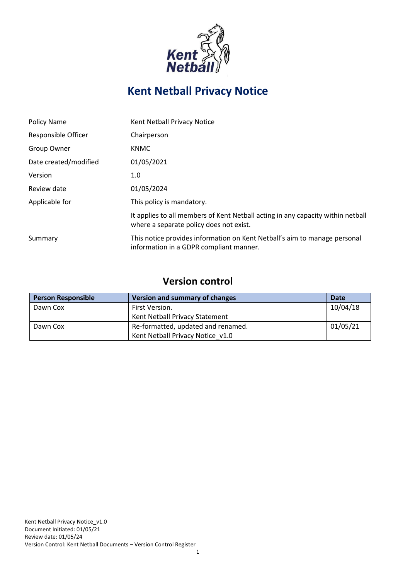

# **Kent Netball Privacy Notice**

| Policy Name           | Kent Netball Privacy Notice                                                                                                |
|-----------------------|----------------------------------------------------------------------------------------------------------------------------|
| Responsible Officer   | Chairperson                                                                                                                |
| Group Owner           | <b>KNMC</b>                                                                                                                |
| Date created/modified | 01/05/2021                                                                                                                 |
| Version               | 1.0                                                                                                                        |
| Review date           | 01/05/2024                                                                                                                 |
| Applicable for        | This policy is mandatory.                                                                                                  |
|                       | It applies to all members of Kent Netball acting in any capacity within netball<br>where a separate policy does not exist. |
| Summary               | This notice provides information on Kent Netball's aim to manage personal<br>information in a GDPR compliant manner.       |

## **Version control**

| <b>Person Responsible</b> | <b>Version and summary of changes</b> | Date     |
|---------------------------|---------------------------------------|----------|
| Dawn Cox                  | First Version.                        | 10/04/18 |
|                           | Kent Netball Privacy Statement        |          |
| Dawn Cox                  | Re-formatted, updated and renamed.    | 01/05/21 |
|                           | Kent Netball Privacy Notice v1.0      |          |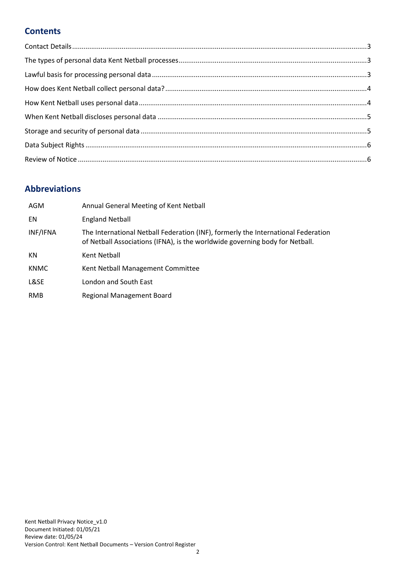## **Contents**

## **Abbreviations**

| AGM         | Annual General Meeting of Kent Netball                                                                                                                            |
|-------------|-------------------------------------------------------------------------------------------------------------------------------------------------------------------|
| EN          | <b>England Netball</b>                                                                                                                                            |
| INF/IFNA    | The International Netball Federation (INF), formerly the International Federation<br>of Netball Associations (IFNA), is the worldwide governing body for Netball. |
| ΚN          | Kent Netball                                                                                                                                                      |
| <b>KNMC</b> | Kent Netball Management Committee                                                                                                                                 |
| L&SE        | London and South East                                                                                                                                             |
| <b>RMB</b>  | Regional Management Board                                                                                                                                         |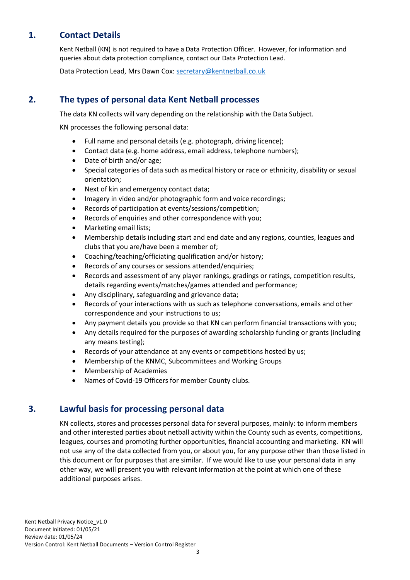## **1. Contact Details**

<span id="page-2-0"></span>Kent Netball (KN) is not required to have a Data Protection Officer. However, for information and queries about data protection compliance, contact our Data Protection Lead.

Data Protection Lead, Mrs Dawn Cox: [secretary@kentnetball.co.uk](mailto:secretary@kentnetball.co.uk)

### **2. The types of personal data Kent Netball processes**

<span id="page-2-1"></span>The data KN collects will vary depending on the relationship with the Data Subject.

KN processes the following personal data:

- Full name and personal details (e.g. photograph, driving licence);
- Contact data (e.g. home address, email address, telephone numbers);
- Date of birth and/or age;
- Special categories of data such as medical history or race or ethnicity, disability or sexual orientation;
- Next of kin and emergency contact data;
- Imagery in video and/or photographic form and voice recordings;
- Records of participation at events/sessions/competition;
- Records of enquiries and other correspondence with you;
- Marketing email lists;
- Membership details including start and end date and any regions, counties, leagues and clubs that you are/have been a member of;
- Coaching/teaching/officiating qualification and/or history;
- Records of any courses or sessions attended/enquiries;
- Records and assessment of any player rankings, gradings or ratings, competition results, details regarding events/matches/games attended and performance;
- Any disciplinary, safeguarding and grievance data;
- Records of your interactions with us such as telephone conversations, emails and other correspondence and your instructions to us;
- Any payment details you provide so that KN can perform financial transactions with you;
- Any details required for the purposes of awarding scholarship funding or grants (including any means testing);
- Records of your attendance at any events or competitions hosted by us;
- Membership of the KNMC, Subcommittees and Working Groups
- Membership of Academies
- Names of Covid-19 Officers for member County clubs.

#### **3. Lawful basis for processing personal data**

<span id="page-2-2"></span>KN collects, stores and processes personal data for several purposes, mainly: to inform members and other interested parties about netball activity within the County such as events, competitions, leagues, courses and promoting further opportunities, financial accounting and marketing. KN will not use any of the data collected from you, or about you, for any purpose other than those listed in this document or for purposes that are similar. If we would like to use your personal data in any other way, we will present you with relevant information at the point at which one of these additional purposes arises.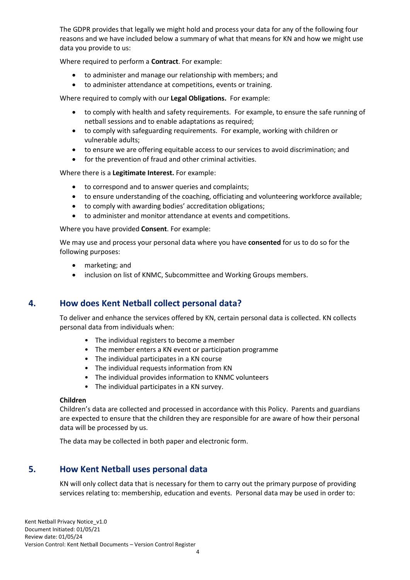The GDPR provides that legally we might hold and process your data for any of the following four reasons and we have included below a summary of what that means for KN and how we might use data you provide to us:

Where required to perform a **Contract**. For example:

- to administer and manage our relationship with members; and
- to administer attendance at competitions, events or training.

Where required to comply with our **Legal Obligations.** For example:

- to comply with health and safety requirements. For example, to ensure the safe running of netball sessions and to enable adaptations as required;
- to comply with safeguarding requirements. For example, working with children or vulnerable adults;
- to ensure we are offering equitable access to our services to avoid discrimination; and
- for the prevention of fraud and other criminal activities.

Where there is a **Legitimate Interest.** For example:

- to correspond and to answer queries and complaints;
- to ensure understanding of the coaching, officiating and volunteering workforce available;
- to comply with awarding bodies' accreditation obligations;
- to administer and monitor attendance at events and competitions.

Where you have provided **Consent**. For example:

We may use and process your personal data where you have **consented** for us to do so for the following purposes:

- marketing; and
- inclusion on list of KNMC, Subcommittee and Working Groups members.

#### **4. How does Kent Netball collect personal data?**

<span id="page-3-0"></span>To deliver and enhance the services offered by KN, certain personal data is collected. KN collects personal data from individuals when:

- The individual registers to become a member
- The member enters a KN event or participation programme
- The individual participates in a KN course
- The individual requests information from KN
- The individual provides information to KNMC volunteers
- The individual participates in a KN survey.

#### **Children**

Children's data are collected and processed in accordance with this Policy. Parents and guardians are expected to ensure that the children they are responsible for are aware of how their personal data will be processed by us.

The data may be collected in both paper and electronic form.

#### **5. How Kent Netball uses personal data**

<span id="page-3-1"></span>KN will only collect data that is necessary for them to carry out the primary purpose of providing services relating to: membership, education and events. Personal data may be used in order to: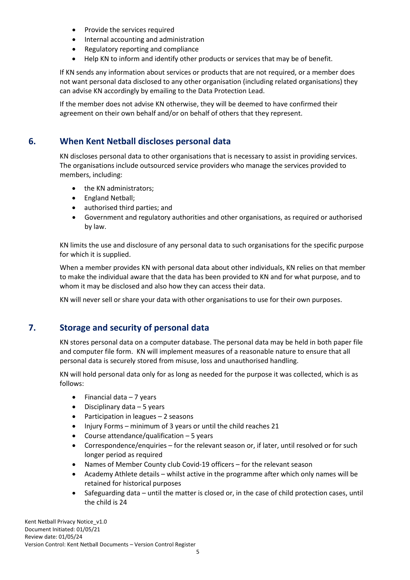- Provide the services required
- Internal accounting and administration
- Regulatory reporting and compliance
- Help KN to inform and identify other products or services that may be of benefit.

If KN sends any information about services or products that are not required, or a member does not want personal data disclosed to any other organisation (including related organisations) they can advise KN accordingly by emailing to the Data Protection Lead.

If the member does not advise KN otherwise, they will be deemed to have confirmed their agreement on their own behalf and/or on behalf of others that they represent.

#### **6. When Kent Netball discloses personal data**

<span id="page-4-0"></span>KN discloses personal data to other organisations that is necessary to assist in providing services. The organisations include outsourced service providers who manage the services provided to members, including:

- the KN administrators;
- England Netball;
- authorised third parties; and
- Government and regulatory authorities and other organisations, as required or authorised by law.

KN limits the use and disclosure of any personal data to such organisations for the specific purpose for which it is supplied.

When a member provides KN with personal data about other individuals, KN relies on that member to make the individual aware that the data has been provided to KN and for what purpose, and to whom it may be disclosed and also how they can access their data.

KN will never sell or share your data with other organisations to use for their own purposes.

#### **7. Storage and security of personal data**

<span id="page-4-1"></span>KN stores personal data on a computer database. The personal data may be held in both paper file and computer file form. KN will implement measures of a reasonable nature to ensure that all personal data is securely stored from misuse, loss and unauthorised handling.

KN will hold personal data only for as long as needed for the purpose it was collected, which is as follows:

- $\bullet$  Financial data  $-7$  years
- Disciplinary data 5 years
- Participation in leagues 2 seasons
- Injury Forms minimum of 3 years or until the child reaches 21
- Course attendance/qualification 5 years
- Correspondence/enquiries for the relevant season or, if later, until resolved or for such longer period as required
- Names of Member County club Covid-19 officers for the relevant season
- Academy Athlete details whilst active in the programme after which only names will be retained for historical purposes
- Safeguarding data until the matter is closed or, in the case of child protection cases, until the child is 24

Kent Netball Privacy Notice\_v1.0 Document Initiated: 01/05/21 Review date: 01/05/24 Version Control: Kent Netball Documents – Version Control Register